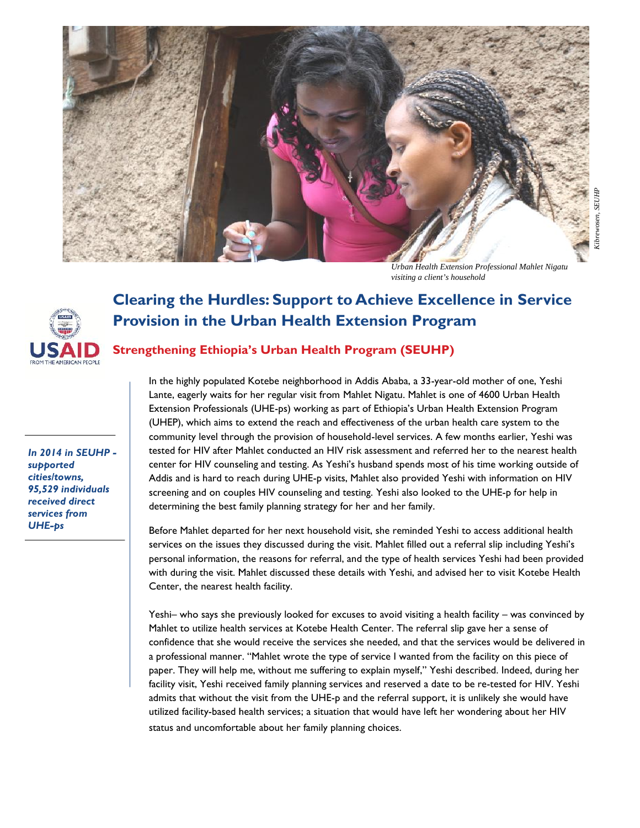

*Urban Health Extension Professional Mahlet Nigatu visiting a client's household*



## **Clearing the Hurdles: Support to Achieve Excellence in Service Provision in the Urban Health Extension Program**

## **Strengthening Ethiopia's Urban Health Program (SEUHP)**

*In 2014 in SEUHP - supported cities/towns, 95,529 individuals received direct services from*

**UHE-ps**<br>
URENT CHE-ps<br>
UPE-ps<br>
UPE-ps<br>
UPE-ps<br>
UPE-ps<br>
UPE-ps<br>
UPE-ps<br>
UPE-ps<br>
UPE-ps<br>
UPE-ps<br>
UPE-ps<br>
UPE-ps<br>
UPE-ps<br>
UPE-ps<br>
UPE-ps<br>
UPE-ps<br>
UPE-ps<br>
UPE-ps<br>
UPE-ps<br>
UPE-ps<br>
UPE-ps<br>
UPE-ps<br>
UPE-ps<br>
UPE-ps<br>
UPE-ps<br>
UPE-ps In the highly populated Kotebe neighborhood in Addis Ababa, a 33-year-old mother of one, Yeshi Lante, eagerly waits for her regular visit from Mahlet Nigatu. Mahlet is one of 4600 Urban Health Extension Professionals (UHE-ps) working as part of Ethiopia's Urban Health Extension Program Extension Professionals (UHE-ps) working as part of Ethiopia's Urban Health Extension Program<br>(UHEP), which aims to extend the reach and effectiveness of the urban health care system to the community level through the provision of household-level services. A few months earlier, Yeshi was tested for HIV after Mahlet conducted an HIV risk assessment and referred her to the nearest health center for HIV counseling and testing. As Yeshi's husband spends most of his time working outside of Addis and is hard to reach during UHE-p visits, Mahlet also provided Yeshi with information on HIV screening and on couples HIV counseling and testing. Yeshi also looked to the UHE-p for help in determining the best family planning strategy for her and her family. *Notes Here Here Nigatury* Character in Service Character in Service Provision in the Urban Health Extension Program<br> **Night Externsion Provision in Service**<br> **Provision in the Urban Health Extension Program**<br>
In the hig community level through the provision of household-level services. A few months earlier, Yeshi was<br>tested for HIV after Mahlet conducted an HIV risk assessment and referred her to the nearest health<br>center for HIV counsel **Elearring the Hurdles: Support to Achieve Excellence in Service**<br>**Provision in the Urban Health Extension Program (SEUHP)**<br>
In the highly populated Kotele neighborhood in Addis Ababa, a 33-year-old mother of one, Yeshi<br>
L

Before Mahlet departed for her next household visit, she reminded Yeshi to access additional health services on the issues they discussed during the visit. Mahlet filled out a referral slip including Yeshi's personal information, the reasons for referral, and the type of health services Yeshi had been provided with during the visit. Mahlet discussed these details with Yeshi, and advised her to visit Kotebe Health Center, the nearest health facility. screening and on couples HIV counseling and testing. Yeshi also looked to the UHE-p for help<br>determining the best family planning strategy for her and her family.<br>Before Mahlet departed for her next household visit, she re personal information, the reasons for referral, and the type of health services Yeshi had been provided with during the visit. Mahlet discussed these details with Yeshi, and advised her to visit Kotebe Health<br>Center, the n

Yeshi– who says she previously looked for excuses to avoid visiting a health facility – was convinced by Mahlet to utilize health services at Kotebe Health Center. The referral slip gave her a sense of confidence that she would receive the services she needed, and that the services would be delivered in confidence that she would receive the services she needed, and that the services would be delivered in<br>a professional manner. ''Mahlet wrote the type of service I wanted from the facility on this piece of paper. They will help me, without me suffering to explain myself," Yeshi described. Indeed, during her paper. They will help me, without me suffering to explain myself," Yeshi described. Indeed, during her<br>facility visit, Yeshi received family planning services and reserved a date to be re-tested for HIV. Yeshi admits that without the visit from the UHE-p and the referral support, it is unlikely she would have utilized facility-based health services; a situation that would have left her wondering about her HIV status and uncomfortable about her family planning choices.